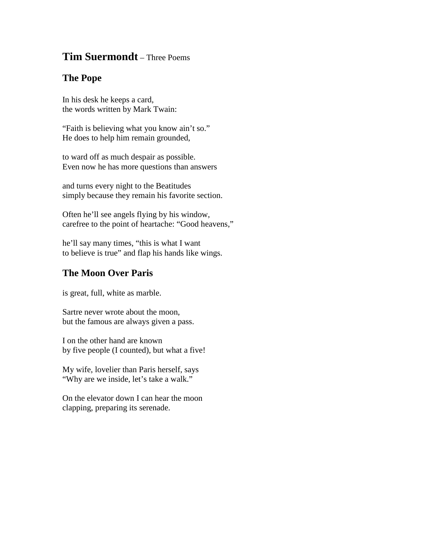## **Tim Suermondt** – Three Poems

## **The Pope**

In his desk he keeps a card, the words written by Mark Twain:

"Faith is believing what you know ain't so." He does to help him remain grounded,

to ward off as much despair as possible. Even now he has more questions than answers

and turns every night to the Beatitudes simply because they remain his favorite section.

Often he'll see angels flying by his window, carefree to the point of heartache: "Good heavens,"

he'll say many times, "this is what I want to believe is true" and flap his hands like wings.

## **The Moon Over Paris**

is great, full, white as marble.

Sartre never wrote about the moon, but the famous are always given a pass.

I on the other hand are known by five people (I counted), but what a five!

My wife, lovelier than Paris herself, says "Why are we inside, let's take a walk."

On the elevator down I can hear the moon clapping, preparing its serenade.